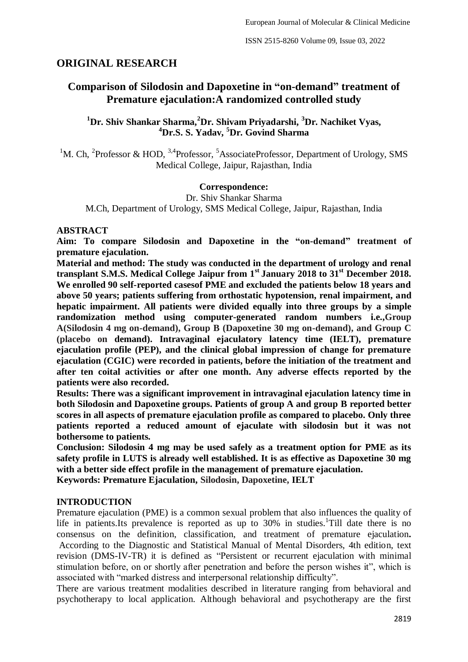## **ORIGINAL RESEARCH**

# **Comparison of Silodosin and Dapoxetine in "on-demand" treatment of Premature ejaculation:A randomized controlled study**

### **<sup>1</sup>Dr. Shiv Shankar Sharma,<sup>2</sup>Dr. Shivam Priyadarshi, <sup>3</sup>Dr. Nachiket Vyas, <sup>4</sup>Dr.S. S. Yadav, <sup>5</sup>Dr. Govind Sharma**

<sup>1</sup>M. Ch, <sup>2</sup>Professor & HOD, <sup>3,4</sup>Professor, <sup>5</sup>AssociateProfessor, Department of Urology, SMS Medical College, Jaipur, Rajasthan, India

### **Correspondence:**

Dr. Shiv Shankar Sharma M.Ch, Department of Urology, SMS Medical College, Jaipur, Rajasthan, India

### **ABSTRACT**

**Aim: To compare Silodosin and Dapoxetine in the "on-demand" treatment of premature ejaculation.** 

**Material and method: The study was conducted in the department of urology and renal transplant S.M.S. Medical College Jaipur from 1st January 2018 to 31st December 2018. We enrolled 90 self-reported casesof PME and excluded the patients below 18 years and above 50 years; patients suffering from orthostatic hypotension, renal impairment, and hepatic impairment. All patients were divided equally into three groups by a simple randomization method using computer-generated random numbers i.e.,Group A(Silodosin 4 mg on-demand), Group B (Dapoxetine 30 mg on-demand), and Group C (placebo on demand). Intravaginal ejaculatory latency time (IELT), premature ejaculation profile (PEP), and the clinical global impression of change for premature ejaculation (CGIC) were recorded in patients, before the initiation of the treatment and after ten coital activities or after one month. Any adverse effects reported by the patients were also recorded.** 

**Results: There was a significant improvement in intravaginal ejaculation latency time in both Silodosin and Dapoxetine groups. Patients of group A and group B reported better scores in all aspects of premature ejaculation profile as compared to placebo. Only three patients reported a reduced amount of ejaculate with silodosin but it was not bothersome to patients.**

**Conclusion: Silodosin 4 mg may be used safely as a treatment option for PME as its safety profile in LUTS is already well established. It is as effective as Dapoxetine 30 mg with a better side effect profile in the management of premature ejaculation. Keywords: Premature Ejaculation, Silodosin, Dapoxetine, IELT**

#### **INTRODUCTION**

Premature ejaculation (PME) is a common sexual problem that also influences the quality of life in patients. Its prevalence is reported as up to 30% in studies. Till date there is no consensus on the definition, classification, and treatment of premature ejaculation**.** According to the Diagnostic and Statistical Manual of Mental Disorders, 4th edition, text revision (DMS-IV-TR) it is defined as "Persistent or recurrent ejaculation with minimal stimulation before, on or shortly after penetration and before the person wishes it", which is associated with "marked distress and interpersonal relationship difficulty".

There are various treatment modalities described in literature ranging from behavioral and psychotherapy to local application. Although behavioral and psychotherapy are the first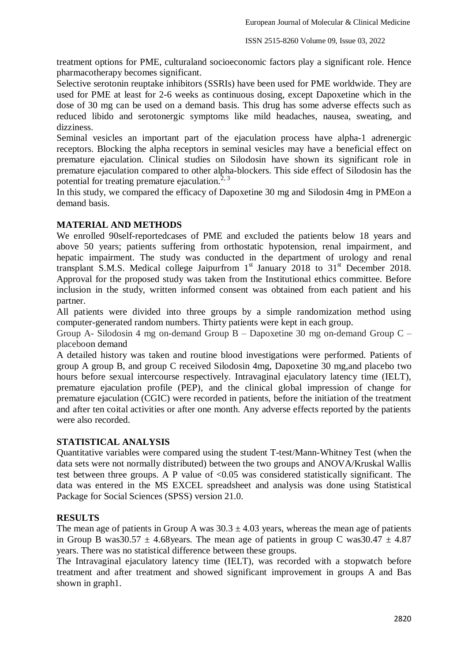treatment options for PME, culturaland socioeconomic factors play a significant role. Hence pharmacotherapy becomes significant.

Selective serotonin reuptake inhibitors (SSRIs) have been used for PME worldwide. They are used for PME at least for 2-6 weeks as continuous dosing, except Dapoxetine which in the dose of 30 mg can be used on a demand basis. This drug has some adverse effects such as reduced libido and serotonergic symptoms like mild headaches, nausea, sweating, and dizziness.

Seminal vesicles an important part of the ejaculation process have alpha-1 adrenergic receptors. Blocking the alpha receptors in seminal vesicles may have a beneficial effect on premature ejaculation. Clinical studies on Silodosin have shown its significant role in premature ejaculation compared to other alpha-blockers. This side effect of Silodosin has the potential for treating premature ejaculation.<sup>2, 3</sup>

In this study, we compared the efficacy of Dapoxetine 30 mg and Silodosin 4mg in PMEon a demand basis.

### **MATERIAL AND METHODS**

We enrolled 90self-reportedcases of PME and excluded the patients below 18 years and above 50 years; patients suffering from orthostatic hypotension, renal impairment, and hepatic impairment. The study was conducted in the department of urology and renal transplant S.M.S. Medical college Jaipurfrom  $1<sup>st</sup>$  January 2018 to 31 $<sup>st</sup>$  December 2018.</sup> Approval for the proposed study was taken from the Institutional ethics committee. Before inclusion in the study, written informed consent was obtained from each patient and his partner.

All patients were divided into three groups by a simple randomization method using computer-generated random numbers. Thirty patients were kept in each group.

Group A- Silodosin 4 mg on-demand Group B – Dapoxetine 30 mg on-demand Group C – placeboon demand

A detailed history was taken and routine blood investigations were performed. Patients of group A group B, and group C received Silodosin 4mg, Dapoxetine 30 mg,and placebo two hours before sexual intercourse respectively. Intravaginal ejaculatory latency time (IELT), premature ejaculation profile (PEP), and the clinical global impression of change for premature ejaculation (CGIC) were recorded in patients, before the initiation of the treatment and after ten coital activities or after one month. Any adverse effects reported by the patients were also recorded.

### **STATISTICAL ANALYSIS**

Quantitative variables were compared using the student T-test/Mann-Whitney Test (when the data sets were not normally distributed) between the two groups and ANOVA/Kruskal Wallis test between three groups. A P value of  $\langle 0.05 \rangle$  was considered statistically significant. The data was entered in the MS EXCEL spreadsheet and analysis was done using Statistical Package for Social Sciences (SPSS) version 21.0.

### **RESULTS**

The mean age of patients in Group A was  $30.3 \pm 4.03$  years, whereas the mean age of patients in Group B was 30.57  $\pm$  4.68 years. The mean age of patients in group C was 30.47  $\pm$  4.87 years. There was no statistical difference between these groups.

The Intravaginal ejaculatory latency time (IELT), was recorded with a stopwatch before treatment and after treatment and showed significant improvement in groups A and Bas shown in graph1.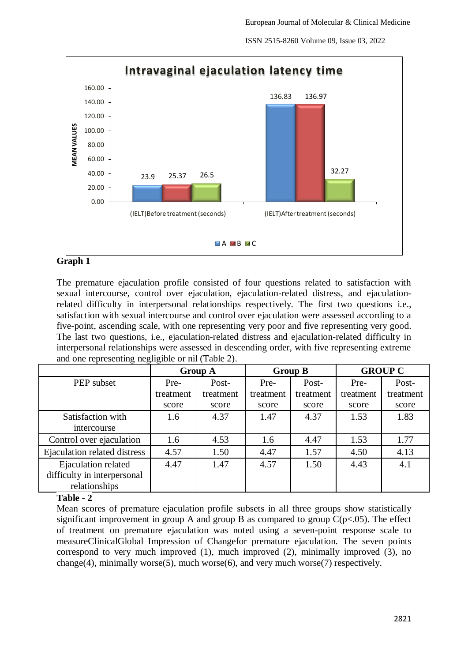ISSN 2515-8260 Volume 09, Issue 03, 2022



### **Graph 1**

The premature ejaculation profile consisted of four questions related to satisfaction with sexual intercourse, control over ejaculation, ejaculation-related distress, and ejaculationrelated difficulty in interpersonal relationships respectively. The first two questions i.e., satisfaction with sexual intercourse and control over ejaculation were assessed according to a five-point, ascending scale, with one representing very poor and five representing very good. The last two questions, i.e., ejaculation-related distress and ejaculation-related difficulty in interpersonal relationships were assessed in descending order, with five representing extreme and one representing negligible or nil (Table 2).

|                              | <b>Group A</b> |           | <b>Group B</b> |           | <b>GROUP C</b> |           |
|------------------------------|----------------|-----------|----------------|-----------|----------------|-----------|
| PEP subset                   | Pre-           | Post-     | Pre-           | Post-     | Pre-           | Post-     |
|                              | treatment      | treatment | treatment      | treatment | treatment      | treatment |
|                              | score          | score     | score          | score     | score          | score     |
| Satisfaction with            | 1.6            | 4.37      | 1.47           | 4.37      | 1.53           | 1.83      |
| intercourse                  |                |           |                |           |                |           |
| Control over ejaculation     | 1.6            | 4.53      | 1.6            | 4.47      | 1.53           | 1.77      |
| Ejaculation related distress | 4.57           | 1.50      | 4.47           | 1.57      | 4.50           | 4.13      |
| Ejaculation related          | 4.47           | 1.47      | 4.57           | 1.50      | 4.43           | 4.1       |
| difficulty in interpersonal  |                |           |                |           |                |           |
| relationships                |                |           |                |           |                |           |

### **Table - 2**

Mean scores of premature ejaculation profile subsets in all three groups show statistically significant improvement in group A and group B as compared to group  $C(p<.05)$ . The effect of treatment on premature ejaculation was noted using a seven-point response scale to measureClinicalGlobal Impression of Changefor premature ejaculation. The seven points correspond to very much improved (1), much improved (2), minimally improved (3), no change(4), minimally worse(5), much worse(6), and very much worse(7) respectively.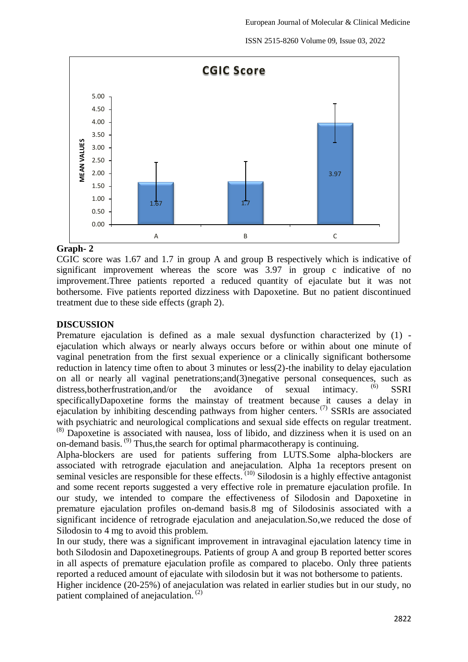ISSN 2515-8260 Volume 09, Issue 03, 2022



### **Graph- 2**

CGIC score was 1.67 and 1.7 in group A and group B respectively which is indicative of significant improvement whereas the score was 3.97 in group c indicative of no improvement.Three patients reported a reduced quantity of ejaculate but it was not bothersome. Five patients reported dizziness with Dapoxetine. But no patient discontinued treatment due to these side effects (graph 2).

#### **DISCUSSION**

Premature ejaculation is defined as a male sexual dysfunction characterized by (1) ejaculation which always or nearly always occurs before or within about one minute of vaginal penetration from the first sexual experience or a clinically significant bothersome reduction in latency time often to about 3 minutes or less(2)-the inability to delay ejaculation on all or nearly all vaginal penetrations;and(3)negative personal consequences, such as distress,botherfrustration,and/or the avoidance of sexual intimacy. **SSRI** specificallyDapoxetine forms the mainstay of treatment because it causes a delay in ejaculation by inhibiting descending pathways from higher centers. <sup>(7)</sup> SSRIs are associated with psychiatric and neurological complications and sexual side effects on regular treatment. (8) Dapoxetine is associated with nausea, loss of libido, and dizziness when it is used on an on-demand basis.<sup>(9)</sup> Thus, the search for optimal pharmacotherapy is continuing.

Alpha-blockers are used for patients suffering from LUTS.Some alpha-blockers are associated with retrograde ejaculation and anejaculation. Alpha 1a receptors present on seminal vesicles are responsible for these effects.  $(10)$  Silodosin is a highly effective antagonist and some recent reports suggested a very effective role in premature ejaculation profile. In our study, we intended to compare the effectiveness of Silodosin and Dapoxetine in premature ejaculation profiles on-demand basis.8 mg of Silodosinis associated with a significant incidence of retrograde ejaculation and anejaculation.So,we reduced the dose of Silodosin to 4 mg to avoid this problem.

In our study, there was a significant improvement in intravaginal ejaculation latency time in both Silodosin and Dapoxetinegroups. Patients of group A and group B reported better scores in all aspects of premature ejaculation profile as compared to placebo. Only three patients reported a reduced amount of ejaculate with silodosin but it was not bothersome to patients.

Higher incidence (20-25%) of anejaculation was related in earlier studies but in our study, no patient complained of anejaculation.<sup>(2)</sup>